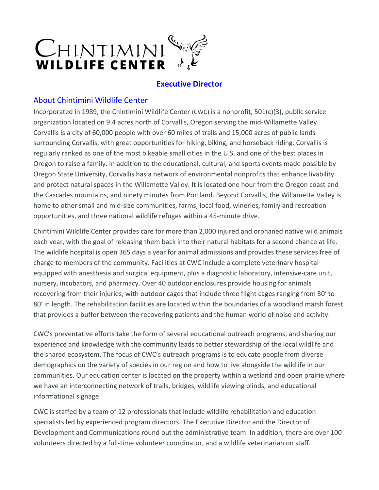

# **Executive Director**

## About Chintimini Wildlife Center

Incorporated in 1989, the Chintimini Wildlife Center (CWC) is a nonprofit, 501(c)(3), public service organization located on 9.4 acres north of Corvallis, Oregon serving the mid-Willamette Valley. Corvallis is a city of 60,000 people with over 60 miles of trails and 15,000 acres of public lands surrounding Corvallis, with great opportunities for hiking, biking, and horseback riding. Corvallis is regularly ranked as one of the most bikeable small cities in the U.S. and one of the best places in Oregon to raise a family. In addition to the educational, cultural, and sports events made possible by Oregon State University, Corvallis has a network of environmental nonprofits that enhance livability and protect natural spaces in the Willamette Valley. It is located one hour from the Oregon coast and the Cascades mountains, and ninety minutes from Portland. Beyond Corvallis, the Willamette Valley is home to other small and mid-size communities, farms, local food, wineries, family and recreation opportunities, and three national wildlife refuges within a 45-minute drive.

Chintimini Wildlife Center provides care for more than 2,000 injured and orphaned native wild animals each year, with the goal of releasing them back into their natural habitats for a second chance at life. The wildlife hospital is open 365 days a year for animal admissions and provides these services free of charge to members of the community. Facilities at CWC include a complete veterinary hospital equipped with anesthesia and surgical equipment, plus a diagnostic laboratory, intensive-care unit, nursery, incubators, and pharmacy. Over 40 outdoor enclosures provide housing for animals recovering from their injuries, with outdoor cages that include three flight cages ranging from 30′ to 80′ in length. The rehabilitation facilities are located within the boundaries of a woodland marsh forest that provides a buffer between the recovering patients and the human world of noise and activity.

CWC's preventative efforts take the form of several educational outreach programs, and sharing our experience and knowledge with the community leads to better stewardship of the local wildlife and the shared ecosystem. The focus of CWC's outreach programs is to educate people from diverse demographics on the variety of species in our region and how to live alongside the wildlife in our communities. Our education center is located on the property within a wetland and open prairie where we have an interconnecting network of trails, bridges, wildlife viewing blinds, and educational informational signage.

CWC is staffed by a team of 12 professionals that include wildlife rehabilitation and education specialists led by experienced program directors. The Executive Director and the Director of Development and Communications round out the administrative team. In addition, there are over 100 volunteers directed by a full-time volunteer coordinator, and a wildlife veterinarian on staff.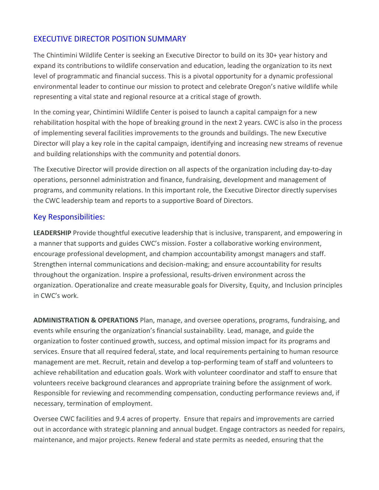# EXECUTIVE DIRECTOR POSITION SUMMARY

The Chintimini Wildlife Center is seeking an Executive Director to build on its 30+ year history and expand its contributions to wildlife conservation and education, leading the organization to its next level of programmatic and financial success. This is a pivotal opportunity for a dynamic professional environmental leader to continue our mission to protect and celebrate Oregon's native wildlife while representing a vital state and regional resource at a critical stage of growth.

In the coming year, Chintimini Wildlife Center is poised to launch a capital campaign for a new rehabilitation hospital with the hope of breaking ground in the next 2 years. CWC is also in the process of implementing several facilities improvements to the grounds and buildings. The new Executive Director will play a key role in the capital campaign, identifying and increasing new streams of revenue and building relationships with the community and potential donors.

The Executive Director will provide direction on all aspects of the organization including day-to-day operations, personnel administration and finance, fundraising, development and management of programs, and community relations. In this important role, the Executive Director directly supervises the CWC leadership team and reports to a supportive Board of Directors.

### Key Responsibilities:

**LEADERSHIP** Provide thoughtful executive leadership that is inclusive, transparent, and empowering in a manner that supports and guides CWC's mission. Foster a collaborative working environment, encourage professional development, and champion accountability amongst managers and staff. Strengthen internal communications and decision-making; and ensure accountability for results throughout the organization. Inspire a professional, results-driven environment across the organization. Operationalize and create measurable goals for Diversity, Equity, and Inclusion principles in CWC's work.

**ADMINISTRATION & OPERATIONS** Plan, manage, and oversee operations, programs, fundraising, and events while ensuring the organization's financial sustainability. Lead, manage, and guide the organization to foster continued growth, success, and optimal mission impact for its programs and services. Ensure that all required federal, state, and local requirements pertaining to human resource management are met. Recruit, retain and develop a top-performing team of staff and volunteers to achieve rehabilitation and education goals. Work with volunteer coordinator and staff to ensure that volunteers receive background clearances and appropriate training before the assignment of work. Responsible for reviewing and recommending compensation, conducting performance reviews and, if necessary, termination of employment.

Oversee CWC facilities and 9.4 acres of property. Ensure that repairs and improvements are carried out in accordance with strategic planning and annual budget. Engage contractors as needed for repairs, maintenance, and major projects. Renew federal and state permits as needed, ensuring that the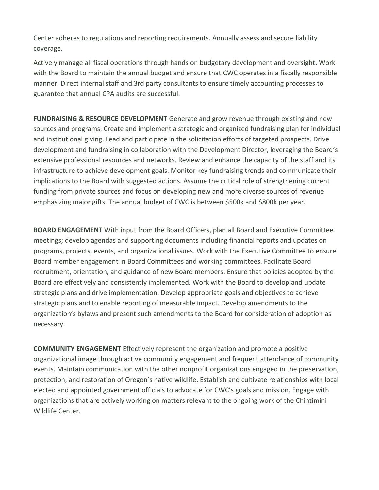Center adheres to regulations and reporting requirements. Annually assess and secure liability coverage.

Actively manage all fiscal operations through hands on budgetary development and oversight. Work with the Board to maintain the annual budget and ensure that CWC operates in a fiscally responsible manner. Direct internal staff and 3rd party consultants to ensure timely accounting processes to guarantee that annual CPA audits are successful.

**FUNDRAISING & RESOURCE DEVELOPMENT** Generate and grow revenue through existing and new sources and programs. Create and implement a strategic and organized fundraising plan for individual and institutional giving. Lead and participate in the solicitation efforts of targeted prospects. Drive development and fundraising in collaboration with the Development Director, leveraging the Board's extensive professional resources and networks. Review and enhance the capacity of the staff and its infrastructure to achieve development goals. Monitor key fundraising trends and communicate their implications to the Board with suggested actions. Assume the critical role of strengthening current funding from private sources and focus on developing new and more diverse sources of revenue emphasizing major gifts. The annual budget of CWC is between \$500k and \$800k per year.

**BOARD ENGAGEMENT** With input from the Board Officers, plan all Board and Executive Committee meetings; develop agendas and supporting documents including financial reports and updates on programs, projects, events, and organizational issues. Work with the Executive Committee to ensure Board member engagement in Board Committees and working committees. Facilitate Board recruitment, orientation, and guidance of new Board members. Ensure that policies adopted by the Board are effectively and consistently implemented. Work with the Board to develop and update strategic plans and drive implementation. Develop appropriate goals and objectives to achieve strategic plans and to enable reporting of measurable impact. Develop amendments to the organization's bylaws and present such amendments to the Board for consideration of adoption as necessary.

**COMMUNITY ENGAGEMENT** Effectively represent the organization and promote a positive organizational image through active community engagement and frequent attendance of community events. Maintain communication with the other nonprofit organizations engaged in the preservation, protection, and restoration of Oregon's native wildlife. Establish and cultivate relationships with local elected and appointed government officials to advocate for CWC's goals and mission. Engage with organizations that are actively working on matters relevant to the ongoing work of the Chintimini Wildlife Center.